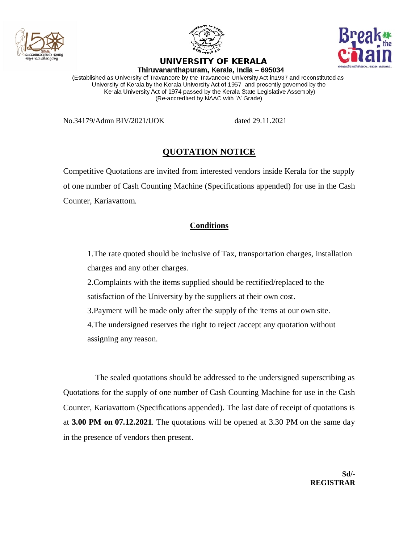



UNIVERSITY OF KERALA



Thiruvananthapuram, Kerala, India - 695034

(Established as University of Travancore by the Travancore University Act in 1937 and reconstituted as University of Kerala by the Kerala University Act of 1957 and presently governed by the Kerala University Act of 1974 passed by the Kerala State Legislative Assembly) (Re-accredited by NAAC with 'A' Grade)

No.34179/Admn BIV/2021/UOK dated 29.11.2021

## **QUOTATION NOTICE**

Competitive Quotations are invited from interested vendors inside Kerala for the supply of one number of Cash Counting Machine (Specifications appended) for use in the Cash Counter, Kariavattom.

## **Conditions**

1.The rate quoted should be inclusive of Tax, transportation charges, installation charges and any other charges.

2.Complaints with the items supplied should be rectified/replaced to the satisfaction of the University by the suppliers at their own cost.

3.Payment will be made only after the supply of the items at our own site.

4.The undersigned reserves the right to reject /accept any quotation without assigning any reason.

The sealed quotations should be addressed to the undersigned superscribing as Quotations for the supply of one number of Cash Counting Machine for use in the Cash Counter, Kariavattom (Specifications appended). The last date of receipt of quotations is at **3.00 PM on 07.12.2021**. The quotations will be opened at 3.30 PM on the same day in the presence of vendors then present.